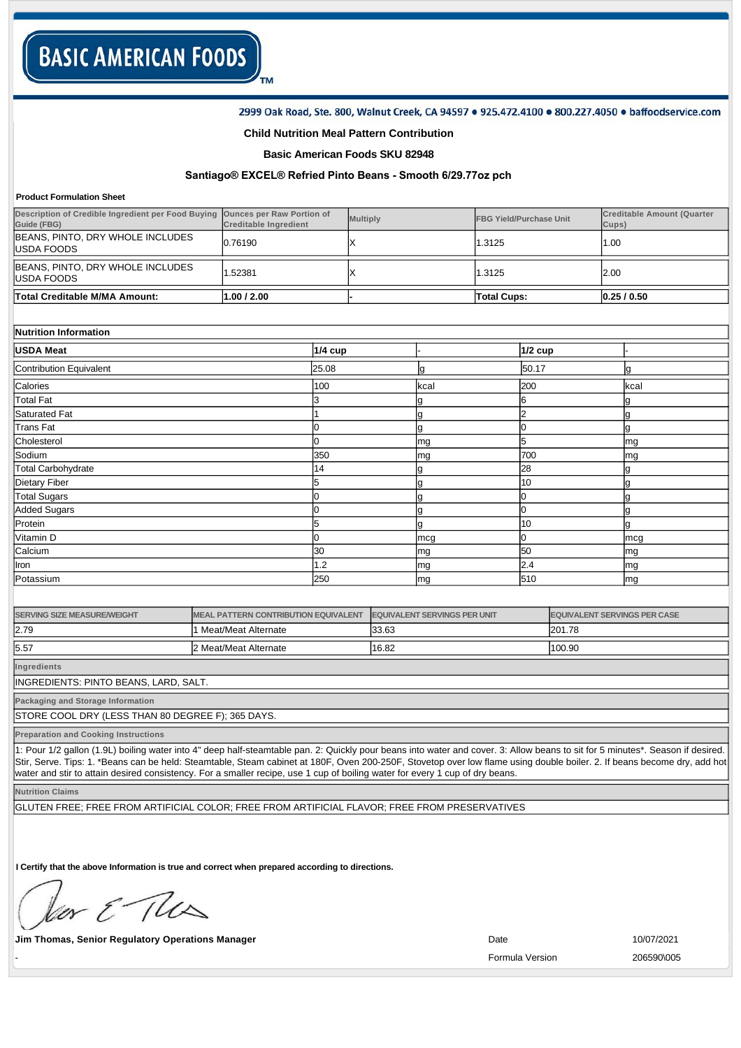## 2999 Oak Road, Ste. 800, Walnut Creek, CA 94597 . 925.472.4100 . 800.227.4050 . baffoodservice.com

# **Child Nutrition Meal Pattern Contribution**

TM

## **Basic American Foods SKU 82948**

# **Santiago® EXCEL® Refried Pinto Beans Smooth 6/29.77oz pch**

#### **Product Formulation Sheet**

| Description of Credible Ingredient per Food Buying<br>Guide (FBG) | <b>Ounces per Raw Portion of</b><br><b>Creditable Ingredient</b> |           | <b>Multiply</b> |      | <b>FBG Yield/Purchase Unit</b> |           | <b>Creditable Amount (Quarter</b><br>Cups) |           |
|-------------------------------------------------------------------|------------------------------------------------------------------|-----------|-----------------|------|--------------------------------|-----------|--------------------------------------------|-----------|
| BEANS, PINTO, DRY WHOLE INCLUDES<br>USDA FOODS                    | 0.76190                                                          |           | х               |      | 1.3125                         |           | 1.00                                       |           |
| BEANS, PINTO, DRY WHOLE INCLUDES<br>USDA FOODS                    | .52381                                                           |           | X               |      | 1.3125                         |           | 2.00                                       |           |
| Total Creditable M/MA Amount:                                     | 1.00 / 2.00                                                      |           |                 |      | <b>Total Cups:</b>             |           |                                            | 0.25/0.50 |
|                                                                   |                                                                  |           |                 |      |                                |           |                                            |           |
| Nutrition Information                                             |                                                                  |           |                 |      |                                |           |                                            |           |
| <b>USDA Meat</b>                                                  |                                                                  | $1/4$ cup |                 |      |                                | $1/2$ cup |                                            |           |
| Contribution Equivalent                                           |                                                                  | 25.08     |                 | g    |                                | 50.17     |                                            | Ig        |
| Calories                                                          |                                                                  | 100       |                 | kcal |                                | 200       |                                            | kcal      |
| <b>Total Fat</b>                                                  |                                                                  |           |                 | ič   |                                | b         |                                            |           |
| <b>Saturated Fat</b>                                              |                                                                  |           |                 | g    |                                | っ         |                                            |           |
| <b>Trans Fat</b>                                                  |                                                                  |           |                 | g    |                                | 0         |                                            | g         |
| Cholesterol                                                       |                                                                  |           |                 | mg   |                                | 5         |                                            | mg        |
| Sodium                                                            |                                                                  | 350       |                 | mg   |                                | 700       |                                            | mg        |
| <b>Total Carbohydrate</b>                                         |                                                                  | 14        |                 | g    |                                | 28        |                                            |           |
| Dietary Fiber                                                     |                                                                  |           |                 | ç    |                                | 10        |                                            |           |
| <b>Total Sugars</b>                                               |                                                                  |           |                 | Č    |                                | 0         |                                            |           |
| <b>Added Sugars</b>                                               |                                                                  |           |                 | g    |                                | 0         |                                            | g         |

|           |      |     |     | . .        |
|-----------|------|-----|-----|------------|
| Protein   |      |     | '10 |            |
| Vitamin D |      | mcg |     | mcg        |
| Calcium   | 130  | mq  | 150 | lma        |
| Iron      | ے. ا | mg  |     | <b>Imc</b> |
| Potassium | 250  | mg  | 510 | <b>Imc</b> |
|           |      |     |     |            |

| <b>SERVING SIZE MEASURE/WEIGHT</b> | <b>IMEAL PATTERN CONTRIBUTION EQUIVALENT</b> | <b>EQUIVALENT SERVINGS PER UNIT</b> | <b>EQUIVALENT SERVINGS PER CASE</b> |
|------------------------------------|----------------------------------------------|-------------------------------------|-------------------------------------|
| 12.79                              | Meat/Meat Alternate                          | 33.63                               | 201.78                              |
| 15.57                              | 2 Meat/Meat Alternate                        | 16.82                               | 100.90                              |

**Ingredients**

INGREDIENTS: PINTO BEANS, LARD, SALT.

**Packaging and Storage Information**

STORE COOL DRY (LESS THAN 80 DEGREE F); 365 DAYS.

**Preparation and Cooking Instructions**

1: Pour 1/2 gallon (1.9L) boiling water into 4" deep half-steamtable pan. 2: Quickly pour beans into water and cover. 3: Allow beans to sit for 5 minutes\*. Season if desired. Stir, Serve. Tips: 1. \*Beans can be held: Steamtable, Steam cabinet at 180F, Oven 200-250F, Stovetop over low flame using double boiler. 2. If beans become dry, add hot water and stir to attain desired consistency. For a smaller recipe, use 1 cup of boiling water for every 1 cup of dry beans.

**Nutrition Claims**

GLUTEN FREE; FREE FROM ARTIFICIAL COLOR; FREE FROM ARTIFICIAL FLAVOR; FREE FROM PRESERVATIVES

**I Certify that the above Information is true and correct when prepared according to directions.** 

or & The

**Jim Thomas, Senior Regulatory Operations Manager 10/07/2021 Date** 10/07/2021

- Formula Version 206590\005